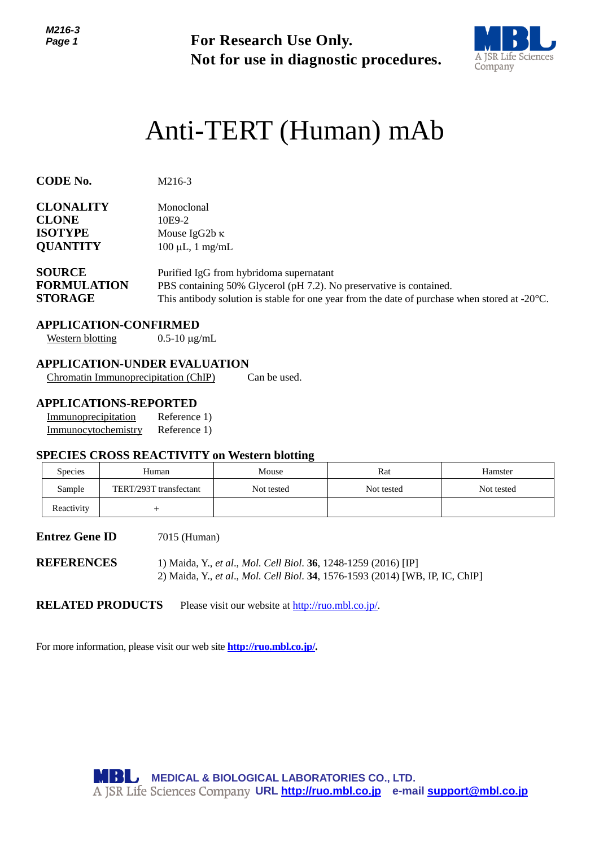*M216-3 Page 1*



# Anti-TERT (Human) mAb

| Page 1                                                                |                                                                                       | For Research Use Only.<br>Not for use in diagnostic procedures.                                                                                                                                                            |                                                                               |            |  |  |  |
|-----------------------------------------------------------------------|---------------------------------------------------------------------------------------|----------------------------------------------------------------------------------------------------------------------------------------------------------------------------------------------------------------------------|-------------------------------------------------------------------------------|------------|--|--|--|
|                                                                       |                                                                                       |                                                                                                                                                                                                                            | Anti-TERT (Human) mAb                                                         |            |  |  |  |
| <b>CODE No.</b>                                                       | M216-3                                                                                |                                                                                                                                                                                                                            |                                                                               |            |  |  |  |
| <b>CLONALITY</b><br><b>CLONE</b><br><b>ISOTYPE</b><br><b>QUANTITY</b> | Monoclonal<br>10E9-2<br>Mouse IgG2b κ                                                 | $100 \mu L$ , 1 mg/mL                                                                                                                                                                                                      |                                                                               |            |  |  |  |
| <b>SOURCE</b><br><b>FORMULATION</b><br><b>STORAGE</b>                 |                                                                                       | Purified IgG from hybridoma supernatant<br>PBS containing 50% Glycerol (pH 7.2). No preservative is contained.<br>This antibody solution is stable for one year from the date of purchase when stored at -20 $^{\circ}$ C. |                                                                               |            |  |  |  |
| <b>Western blotting</b>                                               | <b>APPLICATION-CONFIRMED</b><br>$0.5 - 10 \mu g/mL$                                   |                                                                                                                                                                                                                            |                                                                               |            |  |  |  |
|                                                                       | <b>APPLICATION-UNDER EVALUATION</b><br>Chromatin Immunoprecipitation (ChIP)           | Can be used.                                                                                                                                                                                                               |                                                                               |            |  |  |  |
| Immunoprecipitation<br>Immunocytochemistry                            | <b>APPLICATIONS-REPORTED</b><br>Reference 1)<br>Reference 1)                          |                                                                                                                                                                                                                            |                                                                               |            |  |  |  |
| <b>Species</b>                                                        | <b>SPECIES CROSS REACTIVITY on Western blotting</b><br>Human                          | Mouse                                                                                                                                                                                                                      | Rat                                                                           | Hamster    |  |  |  |
| Sample                                                                | TERT/293T transfectant                                                                | Not tested                                                                                                                                                                                                                 | Not tested                                                                    | Not tested |  |  |  |
| Reactivity                                                            | $^{+}$                                                                                |                                                                                                                                                                                                                            |                                                                               |            |  |  |  |
| <b>Entrez Gene ID</b>                                                 | 7015 (Human)                                                                          |                                                                                                                                                                                                                            |                                                                               |            |  |  |  |
| <b>REFERENCES</b>                                                     |                                                                                       | 1) Maida, Y., et al., Mol. Cell Biol. 36, 1248-1259 (2016) [IP]                                                                                                                                                            | 2) Maida, Y., et al., Mol. Cell Biol. 34, 1576-1593 (2014) [WB, IP, IC, ChIP] |            |  |  |  |
|                                                                       | <b>RELATED PRODUCTS</b>                                                               | Please visit our website at http://ruo.mbl.co.jp/.                                                                                                                                                                         |                                                                               |            |  |  |  |
|                                                                       | For more information, please visit our web site <b>http://ruo.mbl.co.jp/</b> .        |                                                                                                                                                                                                                            |                                                                               |            |  |  |  |
|                                                                       |                                                                                       |                                                                                                                                                                                                                            |                                                                               |            |  |  |  |
|                                                                       |                                                                                       |                                                                                                                                                                                                                            |                                                                               |            |  |  |  |
|                                                                       |                                                                                       |                                                                                                                                                                                                                            |                                                                               |            |  |  |  |
|                                                                       | MBL,<br>A JSR Life Sciences Company URL http://ruo.mbl.co.jp e-mail support@mbl.co.jp | <b>MEDICAL &amp; BIOLOGICAL LABORATORIES CO., LTD.</b>                                                                                                                                                                     |                                                                               |            |  |  |  |

#### **APPLICATION-CONFIRMED**

#### **APPLICATION-UNDER EVALUATION**

#### **APPLICATIONS-REPORTED**

| Immunoprecipitation | Reference 1) |
|---------------------|--------------|
| Immunocytochemistry | Reference 1) |

#### **SPECIES CROSS REACTIVITY on Western blotting**

| <b>Species</b> | Human                  | Mouse      | Rat        | Hamster    |
|----------------|------------------------|------------|------------|------------|
| Sample         | TERT/293T transfectant | Not tested | Not tested | Not tested |
| Reactivity     |                        |            |            |            |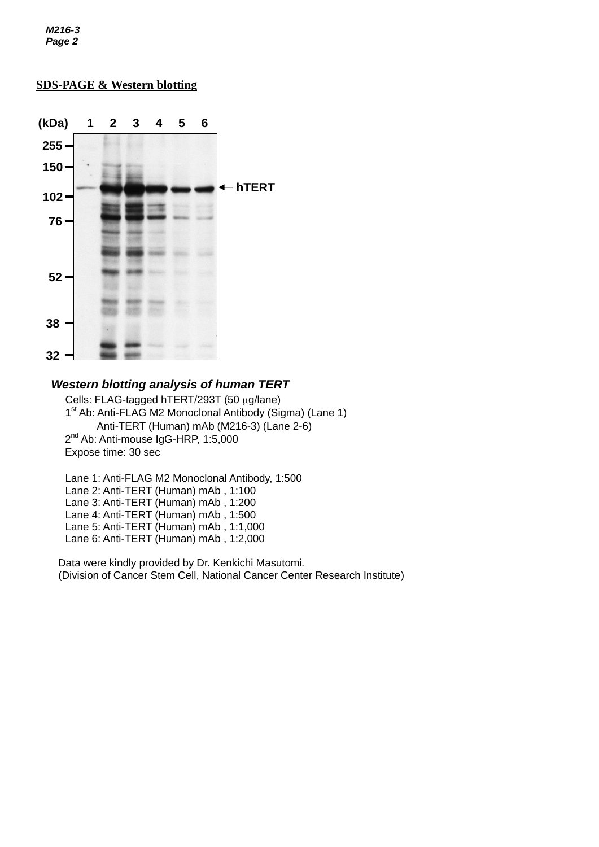*M216-3 Page 2*

## *e* **SDS-PAGE & Western blotting**



## *Western blotting analysis of human TERT*

Cells: FLAG-tagged hTERT/293T (50 µg/lane) 1<sup>st</sup> Ab: Anti-FLAG M2 Monoclonal Antibody (Sigma) (Lane 1) Anti-TERT (Human) mAb (M216-3) (Lane 2-6) 2<sup>nd</sup> Ab: Anti-mouse IgG-HRP, 1:5,000 Expose time: 30 sec

Lane 1: Anti-FLAG M2 Monoclonal Antibody, 1:500 Lane 2: Anti-TERT (Human) mAb , 1:100 Lane 3: Anti-TERT (Human) mAb, 1:200 Lane 4: Anti-TERT (Human) mAb , 1:500 Lane 5: Anti-TERT (Human) mAb , 1:1,000 Lane 6: Anti-TERT (Human) mAb , 1:2,000

Data were kindly provided by Dr. Kenkichi Masutomi*.* (Division of Cancer Stem Cell, National Cancer Center Research Institute)